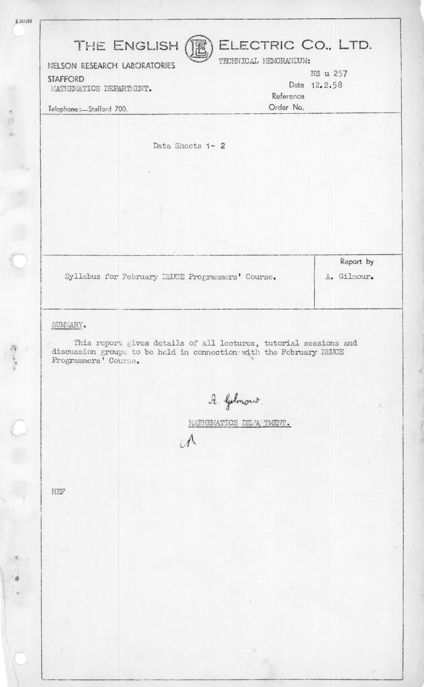| THE ENGLISH                                                                                                                                                                | ELECTRIC CO., LTD.<br>TECHNICAL MEMORANDUM: |
|----------------------------------------------------------------------------------------------------------------------------------------------------------------------------|---------------------------------------------|
| NELSON RESEARCH LABORATORIES<br><b>STAFFORD</b><br>MATHEMATICS DEPARTMENT.                                                                                                 | NS u 257<br>Date 12.2.58<br>Reference       |
| Telephone:-Stafford 700.                                                                                                                                                   | Order No.                                   |
| Data Sheets 1- 2                                                                                                                                                           |                                             |
|                                                                                                                                                                            |                                             |
|                                                                                                                                                                            |                                             |
|                                                                                                                                                                            |                                             |
| Syllabus for February DEUCE Programmers' Course.                                                                                                                           | Report by<br>A. Gilmour.                    |
| SUMMARY.<br>This report gives details of all lectures, tutorial sessions and<br>discussion groups to be held in connection with the February DEUCE<br>Programmers' Course. |                                             |
| A. Gelmour.                                                                                                                                                                | MATHEMATICS DEPAPTMENT.                     |
|                                                                                                                                                                            |                                             |

HEF

 $2.501/22$ 

 $\frac{a}{2}$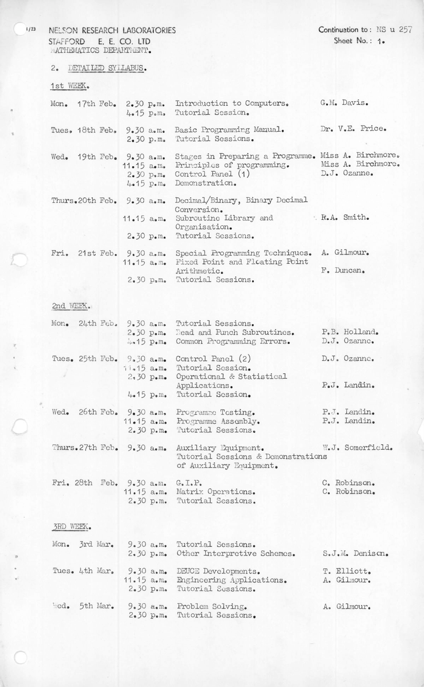NELSON RESEARCH LABORATORIES STAFFORD E. E. CO. LTD MATHEMATICS DEPARTMENT.

2. DETAILED SYLLABUS.

## 1st WEEK.

|  | Mon. $17th$ Feb. $2.30$ p.m.<br>$4.15$ p.m. | Introduction to Computers.<br>Tutorial Session.                                                                                                              | G.M. Davis.                                            |
|--|---------------------------------------------|--------------------------------------------------------------------------------------------------------------------------------------------------------------|--------------------------------------------------------|
|  | 2.30 p.m.                                   | Tues. 18th Feb. 9.30 a.m. Basic Programming Manual.<br>Tutorial Sessions.                                                                                    | Dr. V.E. Price.                                        |
|  | Wed. 19th Feb. 9.30 a.m.<br>$11.15$ a.m.    | Stages in Preparing a Programme. Miss A. Birchmore.<br>Principles of programming.<br>$2.30$ $p_{\bullet}$ m. Control Panel $(1)$<br>4.15 p.m. Demonstration. | Miss A. Birchmore.<br>$D_{\bullet}J_{\bullet}$ Ozanne. |
|  | Thurs. 20th Feb. $9.30$ a.m.                | Decimal/Binary, Binary Decimal<br>Conversion.<br>11.15 a.m. Subroutine Library and<br>Organisation.<br>2.30 p.m. Tutorial Sessions.                          | R.A. Smith.                                            |
|  | Fri. $21st$ Feb. $9.30$ a.m.                | Special Programming Techniques.<br>11.15 a.m. Fixed Point and Floating Point<br>Arithmetic.<br>2.30 p.m. Tutorial Sessions.                                  | A. Gilmour.<br>F. Duncan.                              |

## 2nd WEEK..

| Mon. |  |              |             | 24th Feb. 9.30 a.m. Tutorial Sessions.<br>2.30 p.m. Read and Punch Subroutines.<br>4.15 p.m. Common Programming Errors. | P.B. Holland.<br>D.J. Ozanne. |
|------|--|--------------|-------------|-------------------------------------------------------------------------------------------------------------------------|-------------------------------|
|      |  | $11.15$ a.m. |             | Tues. 25th Feb. 9.30 a.m. Control Panel (2)<br>Tutorial Session.                                                        | D.J. Ozanne.                  |
|      |  |              | $4.15$ p.m. | 2.30 p.m. Operational & Statistical<br>Applications.<br>Tutorial Session.                                               | P.J. Landin.                  |
| Wed. |  |              | 2.30 p.m.   | 26th Feb. 9.30 a.m. Programme Testing.<br>11.15 a.m. Programme Assembly.<br>Tutorial Sessions.                          | P.J. Landin.<br>P.J. Landin.  |
|      |  |              |             | Thurs. 27th Feb. 9.30 a.m. Auxiliary Equipment.<br>Tutorial Sessions & Demonstrations<br>of Auxiliary Equipment.        | W.J. Somerfield.              |
|      |  |              |             |                                                                                                                         |                               |

|  |  | Fri. 28th Feb. 9.30 a.m. G.I.P.                               | C. Robinson. |
|--|--|---------------------------------------------------------------|--------------|
|  |  | 11.15 a.m. Matrix Operations.<br>2.30 p.m. Tutorial Sessions. | C. Robinson. |
|  |  |                                                               |              |

## 3RD WEEK.

|  |                | Mon. 3rd Mar. 9.30 a.m. Tutorial Sessions.<br>2.30 p.m. Other Interpretive Schemes.                   | S.J.M. Denison.            |
|--|----------------|-------------------------------------------------------------------------------------------------------|----------------------------|
|  | Tues. 4th Mar. | 9.30 a.m. DEUCE Developments.<br>11.15 a.m. Engineering Applications.<br>2.30 p.m. Tutorial Sessions. | T. Elliott.<br>A. Gilmour. |
|  | Wed. 5th Mar.  | 9.30 a.m. Problem Solving.<br>2.30 p.m. Tutorial Sessions.                                            | A. Gilmour.                |

**1/23** 

*•*

**r**

**«**